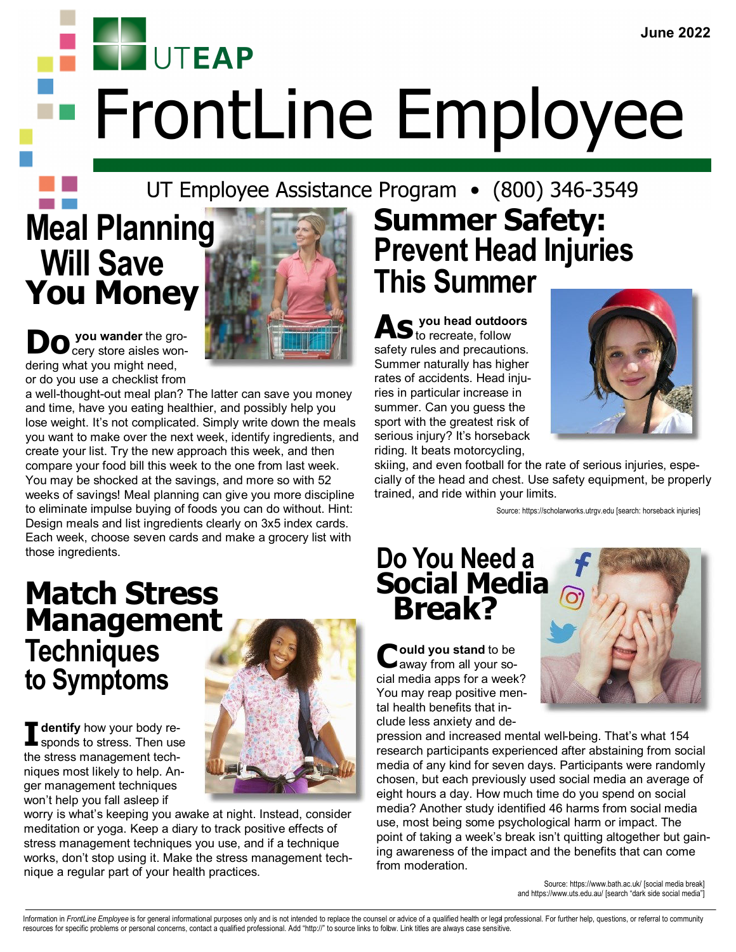**UTEAP** FrontLine Employee

### UT Employee Assistance Program • (800) 346-3549

# **Meal Planning Will Save You Money**



**Do** you wander the grodering what you might need, or do you use a checklist from

a well-thought-out meal plan? The latter can save you money and time, have you eating healthier, and possibly help you lose weight. It's not complicated. Simply write down the meals you want to make over the next week, identify ingredients, and create your list. Try the new approach this week, and then compare your food bill this week to the one from last week. You may be shocked at the savings, and more so with 52 weeks of savings! Meal planning can give you more discipline to eliminate impulse buying of foods you can do without. Hint: Design meals and list ingredients clearly on 3x5 index cards. Each week, choose seven cards and make a grocery list with those ingredients.

### **Match Stress Management Techniques to Symptoms**

**T** dentify how your body re-<br>sponds to stress. Then use<br>the stress management tech**dentify** how your body responds to stress. Then use niques most likely to help. Anger management techniques won't help you fall asleep if



worry is what's keeping you awake at night. Instead, consider meditation or yoga. Keep a diary to track positive effects of stress management techniques you use, and if a technique works, don't stop using it. Make the stress management technique a regular part of your health practices.

# **Summer Safety: Prevent Head Injuries This Summer**

**As you head outdoors** to recreate, follow safety rules and precautions. Summer naturally has higher rates of accidents. Head injuries in particular increase in summer. Can you guess the sport with the greatest risk of serious injury? It's horseback riding. It beats motorcycling,



skiing, and even football for the rate of serious injuries, especially of the head and chest. Use safety equipment, be properly trained, and ride within your limits.

Source: https://scholarworks.utrgv.edu [search: horseback injuries]

### **Do You Need a Social Media Break?**

**C** ould you stand to be<br>
away from all your so**ould you stand** to be cial media apps for a week? You may reap positive mental health benefits that include less anxiety and de-



pression and increased mental well-being. That's what 154 research participants experienced after abstaining from social media of any kind for seven days. Participants were randomly chosen, but each previously used social media an average of eight hours a day. How much time do you spend on social media? Another study identified 46 harms from social media use, most being some psychological harm or impact. The point of taking a week's break isn't quitting altogether but gaining awareness of the impact and the benefits that can come from moderation.

> Source: https://www.bath.ac.uk/ [social media break] and https://www.uts.edu.au/ [search "dark side social media"]

Information in FrontLine Employee is for general informational purposes only and is not intended to replace the counsel or advice of a qualified health or legal professional. For further help, questions, or referral to com resources for specific problems or personal concerns, contact a qualified professional. Add "http://" to source links to follow. Link titles are always case sensitive.